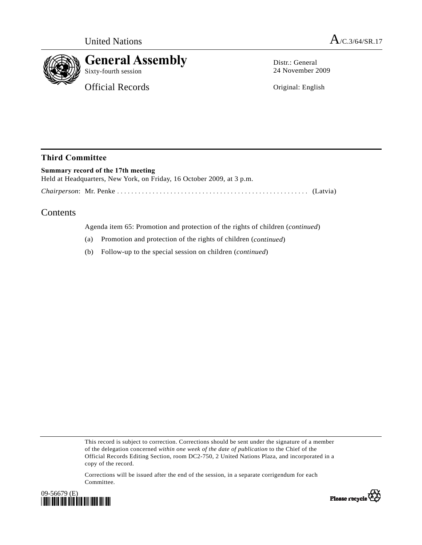

**General Assembly** 

Official Records

Distr.: General 24 November 2009

Original: English

## **Third Committee**

**Summary record of the 17th meeting**  Held at Headquarters, New York, on Friday, 16 October 2009, at 3 p.m. *Chairperson*: Mr. Penke ...................................................... (Latvia)

## Contents

Agenda item 65: Promotion and protection of the rights of children (*continued*)

- (a) Promotion and protection of the rights of children (*continued*)
- (b) Follow-up to the special session on children (*continued*)

This record is subject to correction. Corrections should be sent under the signature of a member of the delegation concerned *within one week of the date of publication* to the Chief of the Official Records Editing Section, room DC2-750, 2 United Nations Plaza, and incorporated in a copy of the record.

Corrections will be issued after the end of the session, in a separate corrigendum for each Committee.



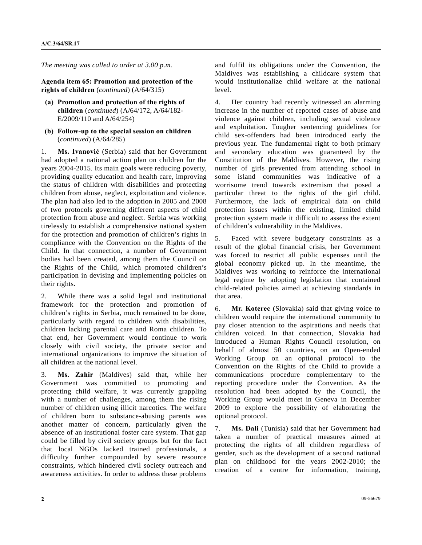*The meeting was called to order at 3.00 p.m.* 

**Agenda item 65: Promotion and protection of the rights of children** (*continued*) (A/64/315)

- **(a) Promotion and protection of the rights of children** (*continued*) (A/64/172, A/64/182- E/2009/110 and A/64/254)
- **(b) Follow-up to the special session on children**  (*continued*) (A/64/285)

1. **Ms. Ivanović** (Serbia) said that her Government had adopted a national action plan on children for the years 2004-2015. Its main goals were reducing poverty, providing quality education and health care, improving the status of children with disabilities and protecting children from abuse, neglect, exploitation and violence. The plan had also led to the adoption in 2005 and 2008 of two protocols governing different aspects of child protection from abuse and neglect. Serbia was working tirelessly to establish a comprehensive national system for the protection and promotion of children's rights in compliance with the Convention on the Rights of the Child. In that connection, a number of Government bodies had been created, among them the Council on the Rights of the Child, which promoted children's participation in devising and implementing policies on their rights.

2. While there was a solid legal and institutional framework for the protection and promotion of children's rights in Serbia, much remained to be done, particularly with regard to children with disabilities, children lacking parental care and Roma children. To that end, her Government would continue to work closely with civil society, the private sector and international organizations to improve the situation of all children at the national level.

3. **Ms. Zahir** (Maldives) said that, while her Government was committed to promoting and protecting child welfare, it was currently grappling with a number of challenges, among them the rising number of children using illicit narcotics. The welfare of children born to substance-abusing parents was another matter of concern, particularly given the absence of an institutional foster care system. That gap could be filled by civil society groups but for the fact that local NGOs lacked trained professionals, a difficulty further compounded by severe resource constraints, which hindered civil society outreach and awareness activities. In order to address these problems

and fulfil its obligations under the Convention, the Maldives was establishing a childcare system that would institutionalize child welfare at the national level.

4. Her country had recently witnessed an alarming increase in the number of reported cases of abuse and violence against children, including sexual violence and exploitation. Tougher sentencing guidelines for child sex-offenders had been introduced early the previous year. The fundamental right to both primary and secondary education was guaranteed by the Constitution of the Maldives. However, the rising number of girls prevented from attending school in some island communities was indicative of a worrisome trend towards extremism that posed a particular threat to the rights of the girl child. Furthermore, the lack of empirical data on child protection issues within the existing, limited child protection system made it difficult to assess the extent of children's vulnerability in the Maldives.

5. Faced with severe budgetary constraints as a result of the global financial crisis, her Government was forced to restrict all public expenses until the global economy picked up. In the meantime, the Maldives was working to reinforce the international legal regime by adopting legislation that contained child-related policies aimed at achieving standards in that area.

6. **Mr. Koterec** (Slovakia) said that giving voice to children would require the international community to pay closer attention to the aspirations and needs that children voiced. In that connection, Slovakia had introduced a Human Rights Council resolution, on behalf of almost 50 countries, on an Open-ended Working Group on an optional protocol to the Convention on the Rights of the Child to provide a communications procedure complementary to the reporting procedure under the Convention. As the resolution had been adopted by the Council, the Working Group would meet in Geneva in December 2009 to explore the possibility of elaborating the optional protocol.

7. **Ms. Dali** (Tunisia) said that her Government had taken a number of practical measures aimed at protecting the rights of all children regardless of gender, such as the development of a second national plan on childhood for the years 2002-2010; the creation of a centre for information, training,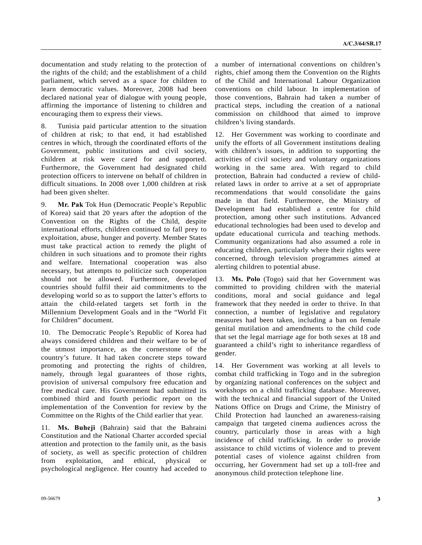documentation and study relating to the protection of the rights of the child; and the establishment of a child parliament, which served as a space for children to learn democratic values. Moreover, 2008 had been declared national year of dialogue with young people, affirming the importance of listening to children and encouraging them to express their views.

8. Tunisia paid particular attention to the situation of children at risk; to that end, it had established centres in which, through the coordinated efforts of the Government, public institutions and civil society, children at risk were cared for and supported. Furthermore, the Government had designated child protection officers to intervene on behalf of children in difficult situations. In 2008 over 1,000 children at risk had been given shelter.

9. **Mr. Pak** Tok Hun (Democratic People's Republic of Korea) said that 20 years after the adoption of the Convention on the Rights of the Child, despite international efforts, children continued to fall prey to exploitation, abuse, hunger and poverty. Member States must take practical action to remedy the plight of children in such situations and to promote their rights and welfare. International cooperation was also necessary, but attempts to politicize such cooperation should not be allowed. Furthermore, developed countries should fulfil their aid commitments to the developing world so as to support the latter's efforts to attain the child-related targets set forth in the Millennium Development Goals and in the "World Fit for Children" document.

10. The Democratic People's Republic of Korea had always considered children and their welfare to be of the utmost importance, as the cornerstone of the country's future. It had taken concrete steps toward promoting and protecting the rights of children, namely, through legal guarantees of those rights, provision of universal compulsory free education and free medical care. His Government had submitted its combined third and fourth periodic report on the implementation of the Convention for review by the Committee on the Rights of the Child earlier that year.

11. **Ms. Buheji** (Bahrain) said that the Bahraini Constitution and the National Charter accorded special attention and protection to the family unit, as the basis of society, as well as specific protection of children from exploitation, and ethical, physical or psychological negligence. Her country had acceded to

a number of international conventions on children's rights, chief among them the Convention on the Rights of the Child and International Labour Organization conventions on child labour. In implementation of those conventions, Bahrain had taken a number of practical steps, including the creation of a national commission on childhood that aimed to improve children's living standards.

12. Her Government was working to coordinate and unify the efforts of all Government institutions dealing with children's issues, in addition to supporting the activities of civil society and voluntary organizations working in the same area. With regard to child protection, Bahrain had conducted a review of childrelated laws in order to arrive at a set of appropriate recommendations that would consolidate the gains made in that field. Furthermore, the Ministry of Development had established a centre for child protection, among other such institutions. Advanced educational technologies had been used to develop and update educational curricula and teaching methods. Community organizations had also assumed a role in educating children, particularly where their rights were concerned, through television programmes aimed at alerting children to potential abuse.

13. **Ms. Polo** (Togo) said that her Government was committed to providing children with the material conditions, moral and social guidance and legal framework that they needed in order to thrive. In that connection, a number of legislative and regulatory measures had been taken, including a ban on female genital mutilation and amendments to the child code that set the legal marriage age for both sexes at 18 and guaranteed a child's right to inheritance regardless of gender.

14. Her Government was working at all levels to combat child trafficking in Togo and in the subregion by organizing national conferences on the subject and workshops on a child trafficking database. Moreover, with the technical and financial support of the United Nations Office on Drugs and Crime, the Ministry of Child Protection had launched an awareness-raising campaign that targeted cinema audiences across the country, particularly those in areas with a high incidence of child trafficking. In order to provide assistance to child victims of violence and to prevent potential cases of violence against children from occurring, her Government had set up a toll-free and anonymous child protection telephone line.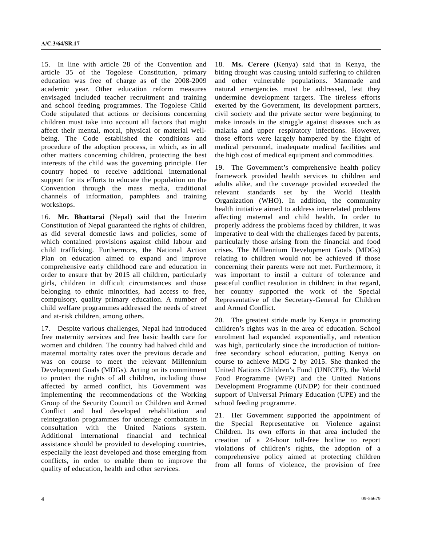15. In line with article 28 of the Convention and article 35 of the Togolese Constitution, primary education was free of charge as of the 2008-2009 academic year. Other education reform measures envisaged included teacher recruitment and training and school feeding programmes. The Togolese Child Code stipulated that actions or decisions concerning children must take into account all factors that might affect their mental, moral, physical or material wellbeing. The Code established the conditions and procedure of the adoption process, in which, as in all other matters concerning children, protecting the best interests of the child was the governing principle. Her country hoped to receive additional international support for its efforts to educate the population on the Convention through the mass media, traditional channels of information, pamphlets and training workshops.

16. **Mr. Bhattarai** (Nepal) said that the Interim Constitution of Nepal guaranteed the rights of children, as did several domestic laws and policies, some of which contained provisions against child labour and child trafficking. Furthermore, the National Action Plan on education aimed to expand and improve comprehensive early childhood care and education in order to ensure that by 2015 all children, particularly girls, children in difficult circumstances and those belonging to ethnic minorities, had access to free, compulsory, quality primary education. A number of child welfare programmes addressed the needs of street and at-risk children, among others.

17. Despite various challenges, Nepal had introduced free maternity services and free basic health care for women and children. The country had halved child and maternal mortality rates over the previous decade and was on course to meet the relevant Millennium Development Goals (MDGs). Acting on its commitment to protect the rights of all children, including those affected by armed conflict, his Government was implementing the recommendations of the Working Group of the Security Council on Children and Armed Conflict and had developed rehabilitation and reintegration programmes for underage combatants in consultation with the United Nations system. Additional international financial and technical assistance should be provided to developing countries, especially the least developed and those emerging from conflicts, in order to enable them to improve the quality of education, health and other services.

18. **Ms. Cerere** (Kenya) said that in Kenya, the biting drought was causing untold suffering to children and other vulnerable populations. Manmade and natural emergencies must be addressed, lest they undermine development targets. The tireless efforts exerted by the Government, its development partners, civil society and the private sector were beginning to make inroads in the struggle against diseases such as malaria and upper respiratory infections. However, those efforts were largely hampered by the flight of medical personnel, inadequate medical facilities and the high cost of medical equipment and commodities.

19. The Government's comprehensive health policy framework provided health services to children and adults alike, and the coverage provided exceeded the relevant standards set by the World Health Organization (WHO). In addition, the community health initiative aimed to address interrelated problems affecting maternal and child health. In order to properly address the problems faced by children, it was imperative to deal with the challenges faced by parents, particularly those arising from the financial and food crises. The Millennium Development Goals (MDGs) relating to children would not be achieved if those concerning their parents were not met. Furthermore, it was important to instil a culture of tolerance and peaceful conflict resolution in children; in that regard, her country supported the work of the Special Representative of the Secretary-General for Children and Armed Conflict.

20. The greatest stride made by Kenya in promoting children's rights was in the area of education. School enrolment had expanded exponentially, and retention was high, particularly since the introduction of tuitionfree secondary school education, putting Kenya on course to achieve MDG 2 by 2015. She thanked the United Nations Children's Fund (UNICEF), the World Food Programme (WFP) and the United Nations Development Programme (UNDP) for their continued support of Universal Primary Education (UPE) and the school feeding programme.

21. Her Government supported the appointment of the Special Representative on Violence against Children. Its own efforts in that area included the creation of a 24-hour toll-free hotline to report violations of children's rights, the adoption of a comprehensive policy aimed at protecting children from all forms of violence, the provision of free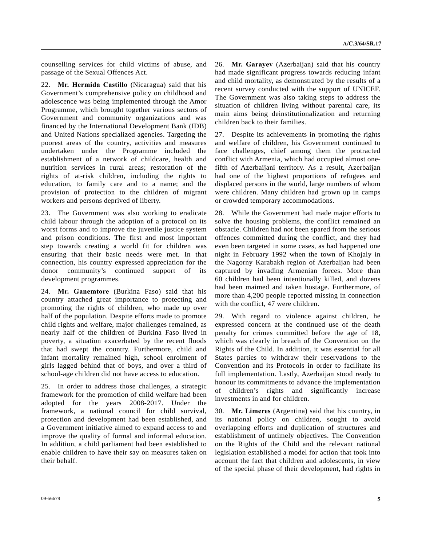counselling services for child victims of abuse, and passage of the Sexual Offences Act.

22. **Mr. Hermida Castillo** (Nicaragua) said that his Government's comprehensive policy on childhood and adolescence was being implemented through the Amor Programme, which brought together various sectors of Government and community organizations and was financed by the International Development Bank (IDB) and United Nations specialized agencies. Targeting the poorest areas of the country, activities and measures undertaken under the Programme included the establishment of a network of childcare, health and nutrition services in rural areas; restoration of the rights of at-risk children, including the rights to education, to family care and to a name; and the provision of protection to the children of migrant workers and persons deprived of liberty.

23. The Government was also working to eradicate child labour through the adoption of a protocol on its worst forms and to improve the juvenile justice system and prison conditions. The first and most important step towards creating a world fit for children was ensuring that their basic needs were met. In that connection, his country expressed appreciation for the donor community's continued support of its development programmes.

24. **Mr. Ganemtore** (Burkina Faso) said that his country attached great importance to protecting and promoting the rights of children, who made up over half of the population. Despite efforts made to promote child rights and welfare, major challenges remained, as nearly half of the children of Burkina Faso lived in poverty, a situation exacerbated by the recent floods that had swept the country. Furthermore, child and infant mortality remained high, school enrolment of girls lagged behind that of boys, and over a third of school-age children did not have access to education.

25. In order to address those challenges, a strategic framework for the promotion of child welfare had been adopted for the years 2008-2017. Under the framework, a national council for child survival, protection and development had been established, and a Government initiative aimed to expand access to and improve the quality of formal and informal education. In addition, a child parliament had been established to enable children to have their say on measures taken on their behalf.

26. **Mr. Garayev** (Azerbaijan) said that his country had made significant progress towards reducing infant and child mortality, as demonstrated by the results of a recent survey conducted with the support of UNICEF. The Government was also taking steps to address the situation of children living without parental care, its main aims being deinstitutionalization and returning children back to their families.

27. Despite its achievements in promoting the rights and welfare of children, his Government continued to face challenges, chief among them the protracted conflict with Armenia, which had occupied almost onefifth of Azerbaijani territory. As a result, Azerbaijan had one of the highest proportions of refugees and displaced persons in the world, large numbers of whom were children. Many children had grown up in camps or crowded temporary accommodations.

28. While the Government had made major efforts to solve the housing problems, the conflict remained an obstacle. Children had not been spared from the serious offences committed during the conflict, and they had even been targeted in some cases, as had happened one night in February 1992 when the town of Khojaly in the Nagorny Karabakh region of Azerbaijan had been captured by invading Armenian forces. More than 60 children had been intentionally killed, and dozens had been maimed and taken hostage. Furthermore, of more than 4,200 people reported missing in connection with the conflict, 47 were children.

29. With regard to violence against children, he expressed concern at the continued use of the death penalty for crimes committed before the age of 18, which was clearly in breach of the Convention on the Rights of the Child. In addition, it was essential for all States parties to withdraw their reservations to the Convention and its Protocols in order to facilitate its full implementation. Lastly, Azerbaijan stood ready to honour its commitments to advance the implementation of children's rights and significantly increase investments in and for children.

30. **Mr. Limeres** (Argentina) said that his country, in its national policy on children, sought to avoid overlapping efforts and duplication of structures and establishment of untimely objectives. The Convention on the Rights of the Child and the relevant national legislation established a model for action that took into account the fact that children and adolescents, in view of the special phase of their development, had rights in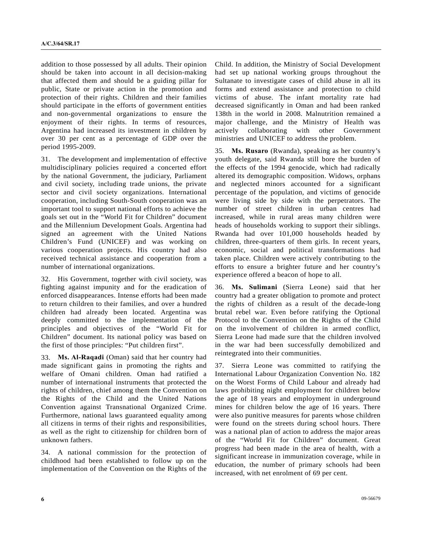addition to those possessed by all adults. Their opinion should be taken into account in all decision-making that affected them and should be a guiding pillar for public, State or private action in the promotion and protection of their rights. Children and their families should participate in the efforts of government entities and non-governmental organizations to ensure the enjoyment of their rights. In terms of resources, Argentina had increased its investment in children by over 30 per cent as a percentage of GDP over the period 1995-2009.

31. The development and implementation of effective multidisciplinary policies required a concerted effort by the national Government, the judiciary, Parliament and civil society, including trade unions, the private sector and civil society organizations. International cooperation, including South-South cooperation was an important tool to support national efforts to achieve the goals set out in the "World Fit for Children" document and the Millennium Development Goals. Argentina had signed an agreement with the United Nations Children's Fund (UNICEF) and was working on various cooperation projects. His country had also received technical assistance and cooperation from a number of international organizations.

32. His Government, together with civil society, was fighting against impunity and for the eradication of enforced disappearances. Intense efforts had been made to return children to their families, and over a hundred children had already been located. Argentina was deeply committed to the implementation of the principles and objectives of the "World Fit for Children" document. Its national policy was based on the first of those principles: "Put children first".

33. **Ms. Al-Raqadi** (Oman) said that her country had made significant gains in promoting the rights and welfare of Omani children. Oman had ratified a number of international instruments that protected the rights of children, chief among them the Convention on the Rights of the Child and the United Nations Convention against Transnational Organized Crime. Furthermore, national laws guaranteed equality among all citizens in terms of their rights and responsibilities, as well as the right to citizenship for children born of unknown fathers.

34. A national commission for the protection of childhood had been established to follow up on the implementation of the Convention on the Rights of the Child. In addition, the Ministry of Social Development had set up national working groups throughout the Sultanate to investigate cases of child abuse in all its forms and extend assistance and protection to child victims of abuse. The infant mortality rate had decreased significantly in Oman and had been ranked 138th in the world in 2008. Malnutrition remained a major challenge, and the Ministry of Health was actively collaborating with other Government ministries and UNICEF to address the problem.

35. **Ms. Rusaro** (Rwanda), speaking as her country's youth delegate, said Rwanda still bore the burden of the effects of the 1994 genocide, which had radically altered its demographic composition. Widows, orphans and neglected minors accounted for a significant percentage of the population, and victims of genocide were living side by side with the perpetrators. The number of street children in urban centres had increased, while in rural areas many children were heads of households working to support their siblings. Rwanda had over 101,000 households headed by children, three-quarters of them girls. In recent years, economic, social and political transformations had taken place. Children were actively contributing to the efforts to ensure a brighter future and her country's experience offered a beacon of hope to all.

36. **Ms. Sulimani** (Sierra Leone) said that her country had a greater obligation to promote and protect the rights of children as a result of the decade-long brutal rebel war. Even before ratifying the Optional Protocol to the Convention on the Rights of the Child on the involvement of children in armed conflict, Sierra Leone had made sure that the children involved in the war had been successfully demobilized and reintegrated into their communities.

37. Sierra Leone was committed to ratifying the International Labour Organization Convention No. 182 on the Worst Forms of Child Labour and already had laws prohibiting night employment for children below the age of 18 years and employment in underground mines for children below the age of 16 years. There were also punitive measures for parents whose children were found on the streets during school hours. There was a national plan of action to address the major areas of the "World Fit for Children" document. Great progress had been made in the area of health, with a significant increase in immunization coverage, while in education, the number of primary schools had been increased, with net enrolment of 69 per cent.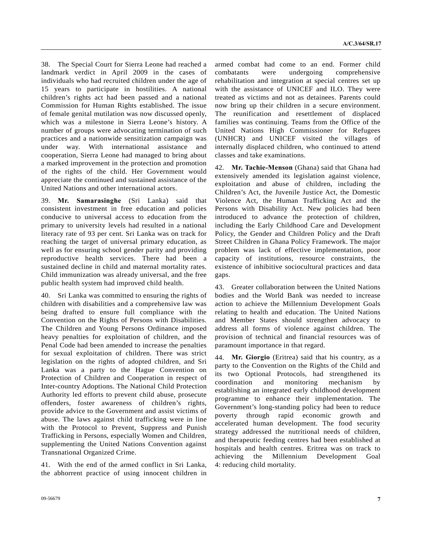38. The Special Court for Sierra Leone had reached a landmark verdict in April 2009 in the cases of individuals who had recruited children under the age of 15 years to participate in hostilities. A national children's rights act had been passed and a national Commission for Human Rights established. The issue of female genital mutilation was now discussed openly, which was a milestone in Sierra Leone's history. A number of groups were advocating termination of such practices and a nationwide sensitization campaign was under way. With international assistance and cooperation, Sierra Leone had managed to bring about a marked improvement in the protection and promotion of the rights of the child. Her Government would appreciate the continued and sustained assistance of the United Nations and other international actors.

39. **Mr. Samarasinghe** (Sri Lanka) said that consistent investment in free education and policies conducive to universal access to education from the primary to university levels had resulted in a national literacy rate of 93 per cent. Sri Lanka was on track for reaching the target of universal primary education, as well as for ensuring school gender parity and providing reproductive health services. There had been a sustained decline in child and maternal mortality rates. Child immunization was already universal, and the free public health system had improved child health.

40. Sri Lanka was committed to ensuring the rights of children with disabilities and a comprehensive law was being drafted to ensure full compliance with the Convention on the Rights of Persons with Disabilities. The Children and Young Persons Ordinance imposed heavy penalties for exploitation of children, and the Penal Code had been amended to increase the penalties for sexual exploitation of children. There was strict legislation on the rights of adopted children, and Sri Lanka was a party to the Hague Convention on Protection of Children and Cooperation in respect of Inter-country Adoptions. The National Child Protection Authority led efforts to prevent child abuse, prosecute offenders, foster awareness of children's rights, provide advice to the Government and assist victims of abuse. The laws against child trafficking were in line with the Protocol to Prevent, Suppress and Punish Trafficking in Persons, especially Women and Children, supplementing the United Nations Convention against Transnational Organized Crime.

41. With the end of the armed conflict in Sri Lanka, the abhorrent practice of using innocent children in

armed combat had come to an end. Former child combatants were undergoing comprehensive rehabilitation and integration at special centres set up with the assistance of UNICEF and ILO. They were treated as victims and not as detainees. Parents could now bring up their children in a secure environment. The reunification and resettlement of displaced families was continuing. Teams from the Office of the United Nations High Commissioner for Refugees (UNHCR) and UNICEF visited the villages of internally displaced children, who continued to attend classes and take examinations.

42. **Mr. Tachie-Menson** (Ghana) said that Ghana had extensively amended its legislation against violence, exploitation and abuse of children, including the Children's Act, the Juvenile Justice Act, the Domestic Violence Act, the Human Trafficking Act and the Persons with Disability Act. New policies had been introduced to advance the protection of children, including the Early Childhood Care and Development Policy, the Gender and Children Policy and the Draft Street Children in Ghana Policy Framework. The major problem was lack of effective implementation, poor capacity of institutions, resource constraints, the existence of inhibitive sociocultural practices and data gaps.

43. Greater collaboration between the United Nations bodies and the World Bank was needed to increase action to achieve the Millennium Development Goals relating to health and education. The United Nations and Member States should strengthen advocacy to address all forms of violence against children. The provision of technical and financial resources was of paramount importance in that regard.

44. **Mr. Giorgio** (Eritrea) said that his country, as a party to the Convention on the Rights of the Child and its two Optional Protocols, had strengthened its coordination and monitoring mechanism by establishing an integrated early childhood development programme to enhance their implementation. The Government's long-standing policy had been to reduce poverty through rapid economic growth and accelerated human development. The food security strategy addressed the nutritional needs of children, and therapeutic feeding centres had been established at hospitals and health centres. Eritrea was on track to achieving the Millennium Development Goal 4: reducing child mortality.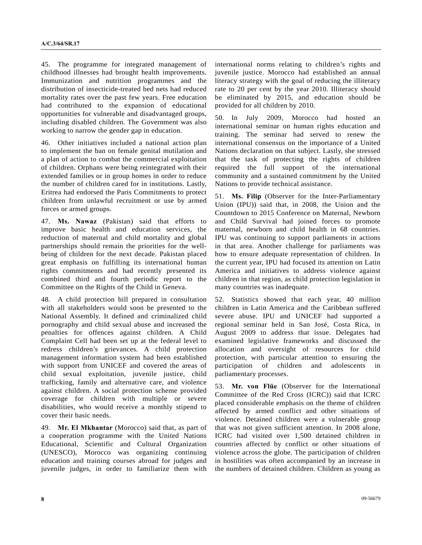45. The programme for integrated management of childhood illnesses had brought health improvements. Immunization and nutrition programmes and the distribution of insecticide-treated bed nets had reduced mortality rates over the past few years. Free education had contributed to the expansion of educational opportunities for vulnerable and disadvantaged groups, including disabled children. The Government was also working to narrow the gender gap in education.

46. Other initiatives included a national action plan to implement the ban on female genital mutilation and a plan of action to combat the commercial exploitation of children. Orphans were being reintegrated with their extended families or in group homes in order to reduce the number of children cared for in institutions. Lastly, Eritrea had endorsed the Paris Commitments to protect children from unlawful recruitment or use by armed forces or armed groups.

47. **Ms. Nawaz** (Pakistan) said that efforts to improve basic health and education services, the reduction of maternal and child mortality and global partnerships should remain the priorities for the wellbeing of children for the next decade. Pakistan placed great emphasis on fulfilling its international human rights commitments and had recently presented its combined third and fourth periodic report to the Committee on the Rights of the Child in Geneva.

48. A child protection bill prepared in consultation with all stakeholders would soon be presented to the National Assembly. It defined and criminalized child pornography and child sexual abuse and increased the penalties for offences against children. A Child Complaint Cell had been set up at the federal level to redress children's grievances. A child protection management information system had been established with support from UNICEF and covered the areas of child sexual exploitation, juvenile justice, child trafficking, family and alternative care, and violence against children. A social protection scheme provided coverage for children with multiple or severe disabilities, who would receive a monthly stipend to cover their basic needs.

49. **Mr. El Mkhantar** (Morocco) said that, as part of a cooperation programme with the United Nations Educational, Scientific and Cultural Organization (UNESCO), Morocco was organizing continuing education and training courses abroad for judges and juvenile judges, in order to familiarize them with

international norms relating to children's rights and juvenile justice. Morocco had established an annual literacy strategy with the goal of reducing the illiteracy rate to 20 per cent by the year 2010. Illiteracy should be eliminated by 2015, and education should be provided for all children by 2010.

50. In July 2009, Morocco had hosted an international seminar on human rights education and training. The seminar had served to renew the international consensus on the importance of a United Nations declaration on that subject. Lastly, she stressed that the task of protecting the rights of children required the full support of the international community and a sustained commitment by the United Nations to provide technical assistance.

51. **Ms. Filip** (Observer for the Inter-Parliamentary Union (IPU)) said that, in 2008, the Union and the Countdown to 2015 Conference on Maternal, Newborn and Child Survival had joined forces to promote maternal, newborn and child health in 68 countries. IPU was continuing to support parliaments in actions in that area. Another challenge for parliaments was how to ensure adequate representation of children. In the current year, IPU had focused its attention on Latin America and initiatives to address violence against children in that region, as child protection legislation in many countries was inadequate.

52. Statistics showed that each year, 40 million children in Latin America and the Caribbean suffered severe abuse. IPU and UNICEF had supported a regional seminar held in San José, Costa Rica, in August 2009 to address that issue. Delegates had examined legislative frameworks and discussed the allocation and oversight of resources for child protection, with particular attention to ensuring the participation of children and adolescents in parliamentary processes.

53. **Mr. von Flüe** (Observer for the International Committee of the Red Cross (ICRC)) said that ICRC placed considerable emphasis on the theme of children affected by armed conflict and other situations of violence. Detained children were a vulnerable group that was not given sufficient attention. In 2008 alone, ICRC had visited over 1,500 detained children in countries affected by conflict or other situations of violence across the globe. The participation of children in hostilities was often accompanied by an increase in the numbers of detained children. Children as young as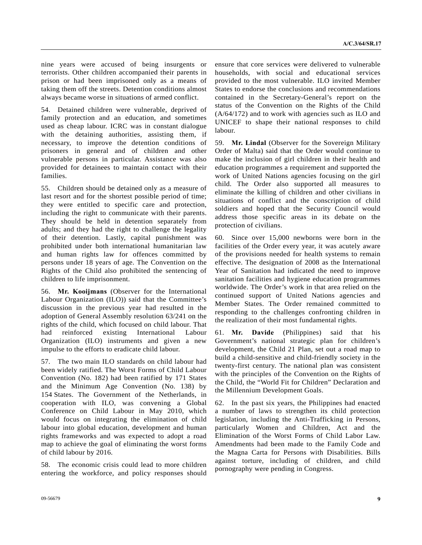nine years were accused of being insurgents or terrorists. Other children accompanied their parents in prison or had been imprisoned only as a means of taking them off the streets. Detention conditions almost always became worse in situations of armed conflict.

54. Detained children were vulnerable, deprived of family protection and an education, and sometimes used as cheap labour. ICRC was in constant dialogue with the detaining authorities, assisting them, if necessary, to improve the detention conditions of prisoners in general and of children and other vulnerable persons in particular. Assistance was also provided for detainees to maintain contact with their families.

55. Children should be detained only as a measure of last resort and for the shortest possible period of time; they were entitled to specific care and protection, including the right to communicate with their parents. They should be held in detention separately from adults; and they had the right to challenge the legality of their detention. Lastly, capital punishment was prohibited under both international humanitarian law and human rights law for offences committed by persons under 18 years of age. The Convention on the Rights of the Child also prohibited the sentencing of children to life imprisonment.

56. **Mr. Kooijmans** (Observer for the International Labour Organization (ILO)) said that the Committee's discussion in the previous year had resulted in the adoption of General Assembly resolution 63/241 on the rights of the child, which focused on child labour. That had reinforced existing International Labour Organization (ILO) instruments and given a new impulse to the efforts to eradicate child labour.

57. The two main ILO standards on child labour had been widely ratified. The Worst Forms of Child Labour Convention (No. 182) had been ratified by 171 States and the Minimum Age Convention (No. 138) by 154 States. The Government of the Netherlands, in cooperation with ILO, was convening a Global Conference on Child Labour in May 2010, which would focus on integrating the elimination of child labour into global education, development and human rights frameworks and was expected to adopt a road map to achieve the goal of eliminating the worst forms of child labour by 2016.

58. The economic crisis could lead to more children entering the workforce, and policy responses should

ensure that core services were delivered to vulnerable households, with social and educational services provided to the most vulnerable. ILO invited Member States to endorse the conclusions and recommendations contained in the Secretary-General's report on the status of the Convention on the Rights of the Child (A/64/172) and to work with agencies such as ILO and UNICEF to shape their national responses to child labour.

59. **Mr. Lindal** (Observer for the Sovereign Military Order of Malta) said that the Order would continue to make the inclusion of girl children in their health and education programmes a requirement and supported the work of United Nations agencies focusing on the girl child. The Order also supported all measures to eliminate the killing of children and other civilians in situations of conflict and the conscription of child soldiers and hoped that the Security Council would address those specific areas in its debate on the protection of civilians.

60. Since over 15,000 newborns were born in the facilities of the Order every year, it was acutely aware of the provisions needed for health systems to remain effective. The designation of 2008 as the International Year of Sanitation had indicated the need to improve sanitation facilities and hygiene education programmes worldwide. The Order's work in that area relied on the continued support of United Nations agencies and Member States. The Order remained committed to responding to the challenges confronting children in the realization of their most fundamental rights.

61. **Mr. Davide** (Philippines) said that his Government's national strategic plan for children's development, the Child 21 Plan, set out a road map to build a child-sensitive and child-friendly society in the twenty-first century. The national plan was consistent with the principles of the Convention on the Rights of the Child, the "World Fit for Children" Declaration and the Millennium Development Goals.

62. In the past six years, the Philippines had enacted a number of laws to strengthen its child protection legislation, including the Anti-Trafficking in Persons, particularly Women and Children, Act and the Elimination of the Worst Forms of Child Labor Law. Amendments had been made to the Family Code and the Magna Carta for Persons with Disabilities. Bills against torture, including of children, and child pornography were pending in Congress.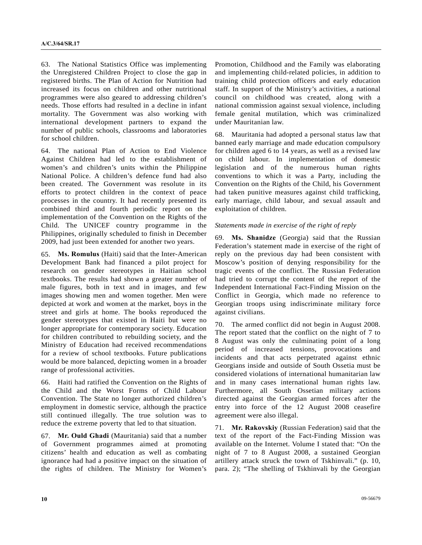63. The National Statistics Office was implementing the Unregistered Children Project to close the gap in registered births. The Plan of Action for Nutrition had increased its focus on children and other nutritional programmes were also geared to addressing children's needs. Those efforts had resulted in a decline in infant mortality. The Government was also working with international development partners to expand the number of public schools, classrooms and laboratories for school children.

64. The national Plan of Action to End Violence Against Children had led to the establishment of women's and children's units within the Philippine National Police. A children's defence fund had also been created. The Government was resolute in its efforts to protect children in the context of peace processes in the country. It had recently presented its combined third and fourth periodic report on the implementation of the Convention on the Rights of the Child. The UNICEF country programme in the Philippines, originally scheduled to finish in December 2009, had just been extended for another two years.

65. **Ms. Romulus** (Haiti) said that the Inter-American Development Bank had financed a pilot project for research on gender stereotypes in Haitian school textbooks. The results had shown a greater number of male figures, both in text and in images, and few images showing men and women together. Men were depicted at work and women at the market, boys in the street and girls at home. The books reproduced the gender stereotypes that existed in Haiti but were no longer appropriate for contemporary society. Education for children contributed to rebuilding society, and the Ministry of Education had received recommendations for a review of school textbooks. Future publications would be more balanced, depicting women in a broader range of professional activities.

66. Haiti had ratified the Convention on the Rights of the Child and the Worst Forms of Child Labour Convention. The State no longer authorized children's employment in domestic service, although the practice still continued illegally. The true solution was to reduce the extreme poverty that led to that situation.

67. **Mr. Ould Ghadi** (Mauritania) said that a number of Government programmes aimed at promoting citizens' health and education as well as combating ignorance had had a positive impact on the situation of the rights of children. The Ministry for Women's

Promotion, Childhood and the Family was elaborating and implementing child-related policies, in addition to training child protection officers and early education staff. In support of the Ministry's activities, a national council on childhood was created, along with a national commission against sexual violence, including female genital mutilation, which was criminalized under Mauritanian law.

68. Mauritania had adopted a personal status law that banned early marriage and made education compulsory for children aged 6 to 14 years, as well as a revised law on child labour. In implementation of domestic legislation and of the numerous human rights conventions to which it was a Party, including the Convention on the Rights of the Child, his Government had taken punitive measures against child trafficking, early marriage, child labour, and sexual assault and exploitation of children.

## *Statements made in exercise of the right of reply*

69. **Ms. Shanidze** (Georgia) said that the Russian Federation's statement made in exercise of the right of reply on the previous day had been consistent with Moscow's position of denying responsibility for the tragic events of the conflict. The Russian Federation had tried to corrupt the content of the report of the Independent International Fact-Finding Mission on the Conflict in Georgia, which made no reference to Georgian troops using indiscriminate military force against civilians.

70. The armed conflict did not begin in August 2008. The report stated that the conflict on the night of 7 to 8 August was only the culminating point of a long period of increased tensions, provocations and incidents and that acts perpetrated against ethnic Georgians inside and outside of South Ossetia must be considered violations of international humanitarian law and in many cases international human rights law. Furthermore, all South Ossetian military actions directed against the Georgian armed forces after the entry into force of the 12 August 2008 ceasefire agreement were also illegal.

71. **Mr. Rakovskiy** (Russian Federation) said that the text of the report of the Fact-Finding Mission was available on the Internet. Volume I stated that: "On the night of 7 to 8 August 2008, a sustained Georgian artillery attack struck the town of Tskhinvali." (p. 10, para. 2); "The shelling of Tskhinvali by the Georgian